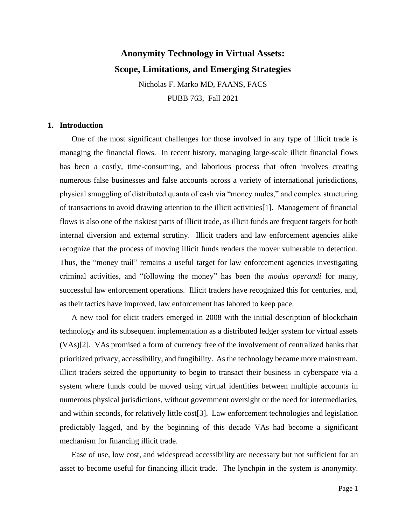# **Anonymity Technology in Virtual Assets: Scope, Limitations, and Emerging Strategies**

Nicholas F. Marko MD, FAANS, FACS PUBB 763, Fall 2021

# **1. Introduction**

One of the most significant challenges for those involved in any type of illicit trade is managing the financial flows. In recent history, managing large-scale illicit financial flows has been a costly, time-consuming, and laborious process that often involves creating numerous false businesses and false accounts across a variety of international jurisdictions, physical smuggling of distributed quanta of cash via "money mules," and complex structuring of transactions to avoid drawing attention to the illicit activities[1]. Management of financial flows is also one of the riskiest parts of illicit trade, as illicit funds are frequent targets for both internal diversion and external scrutiny. Illicit traders and law enforcement agencies alike recognize that the process of moving illicit funds renders the mover vulnerable to detection. Thus, the "money trail" remains a useful target for law enforcement agencies investigating criminal activities, and "following the money" has been the *modus operandi* for many, successful law enforcement operations. Illicit traders have recognized this for centuries, and, as their tactics have improved, law enforcement has labored to keep pace.

A new tool for elicit traders emerged in 2008 with the initial description of blockchain technology and its subsequent implementation as a distributed ledger system for virtual assets (VAs)[2]. VAs promised a form of currency free of the involvement of centralized banks that prioritized privacy, accessibility, and fungibility. As the technology became more mainstream, illicit traders seized the opportunity to begin to transact their business in cyberspace via a system where funds could be moved using virtual identities between multiple accounts in numerous physical jurisdictions, without government oversight or the need for intermediaries, and within seconds, for relatively little cost[3]. Law enforcement technologies and legislation predictably lagged, and by the beginning of this decade VAs had become a significant mechanism for financing illicit trade.

Ease of use, low cost, and widespread accessibility are necessary but not sufficient for an asset to become useful for financing illicit trade. The lynchpin in the system is anonymity.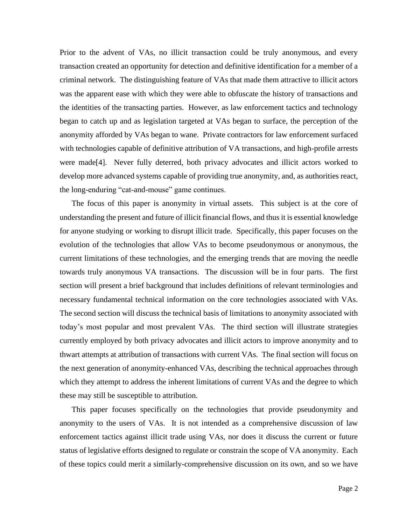Prior to the advent of VAs, no illicit transaction could be truly anonymous, and every transaction created an opportunity for detection and definitive identification for a member of a criminal network. The distinguishing feature of VAs that made them attractive to illicit actors was the apparent ease with which they were able to obfuscate the history of transactions and the identities of the transacting parties. However, as law enforcement tactics and technology began to catch up and as legislation targeted at VAs began to surface, the perception of the anonymity afforded by VAs began to wane. Private contractors for law enforcement surfaced with technologies capable of definitive attribution of VA transactions, and high-profile arrests were made[4]. Never fully deterred, both privacy advocates and illicit actors worked to develop more advanced systems capable of providing true anonymity, and, as authorities react, the long-enduring "cat-and-mouse" game continues.

The focus of this paper is anonymity in virtual assets. This subject is at the core of understanding the present and future of illicit financial flows, and thus it is essential knowledge for anyone studying or working to disrupt illicit trade. Specifically, this paper focuses on the evolution of the technologies that allow VAs to become pseudonymous or anonymous, the current limitations of these technologies, and the emerging trends that are moving the needle towards truly anonymous VA transactions. The discussion will be in four parts. The first section will present a brief background that includes definitions of relevant terminologies and necessary fundamental technical information on the core technologies associated with VAs. The second section will discuss the technical basis of limitations to anonymity associated with today's most popular and most prevalent VAs. The third section will illustrate strategies currently employed by both privacy advocates and illicit actors to improve anonymity and to thwart attempts at attribution of transactions with current VAs. The final section will focus on the next generation of anonymity-enhanced VAs, describing the technical approaches through which they attempt to address the inherent limitations of current VAs and the degree to which these may still be susceptible to attribution.

This paper focuses specifically on the technologies that provide pseudonymity and anonymity to the users of VAs. It is not intended as a comprehensive discussion of law enforcement tactics against illicit trade using VAs, nor does it discuss the current or future status of legislative efforts designed to regulate or constrain the scope of VA anonymity. Each of these topics could merit a similarly-comprehensive discussion on its own, and so we have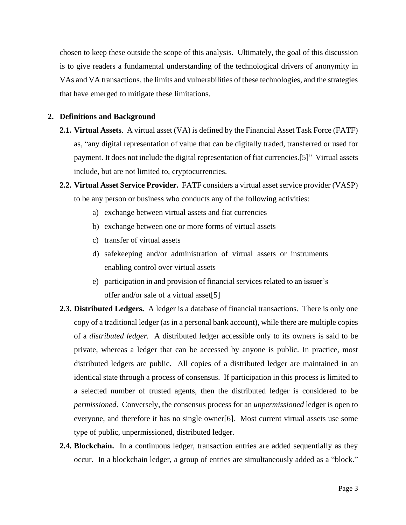chosen to keep these outside the scope of this analysis. Ultimately, the goal of this discussion is to give readers a fundamental understanding of the technological drivers of anonymity in VAs and VA transactions, the limits and vulnerabilities of these technologies, and the strategies that have emerged to mitigate these limitations.

# **2. Definitions and Background**

- **2.1. Virtual Assets**. A virtual asset (VA) is defined by the Financial Asset Task Force (FATF) as, "any digital representation of value that can be digitally traded, transferred or used for payment. It does not include the digital representation of fiat currencies.[5]" Virtual assets include, but are not limited to, cryptocurrencies.
- **2.2. Virtual Asset Service Provider.** FATF considers a virtual asset service provider (VASP) to be any person or business who conducts any of the following activities:
	- a) exchange between virtual assets and fiat currencies
	- b) exchange between one or more forms of virtual assets
	- c) transfer of virtual assets
	- d) safekeeping and/or administration of virtual assets or instruments enabling control over virtual assets
	- e) participation in and provision of financial services related to an issuer's offer and/or sale of a virtual asset[5]
- **2.3. Distributed Ledgers.** A ledger is a database of financial transactions. There is only one copy of a traditional ledger (as in a personal bank account), while there are multiple copies of a *distributed ledger.* A distributed ledger accessible only to its owners is said to be private*,* whereas a ledger that can be accessed by anyone is public. In practice, most distributed ledgers are public. All copies of a distributed ledger are maintained in an identical state through a process of consensus. If participation in this process is limited to a selected number of trusted agents, then the distributed ledger is considered to be *permissioned*. Conversely, the consensus process for an *unpermissioned* ledger is open to everyone, and therefore it has no single owner[6]. Most current virtual assets use some type of public, unpermissioned, distributed ledger.
- **2.4. Blockchain.** In a continuous ledger, transaction entries are added sequentially as they occur. In a blockchain ledger, a group of entries are simultaneously added as a "block."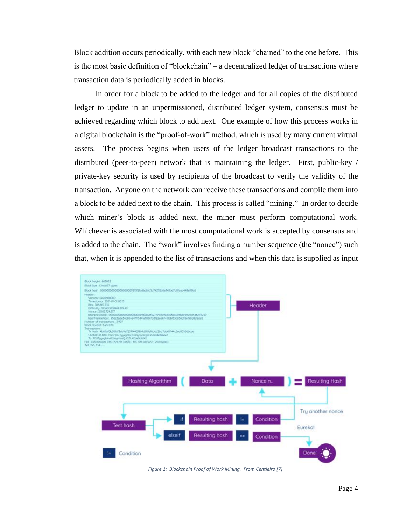Block addition occurs periodically, with each new block "chained" to the one before. This is the most basic definition of "blockchain" – a decentralized ledger of transactions where transaction data is periodically added in blocks.

In order for a block to be added to the ledger and for all copies of the distributed ledger to update in an unpermissioned, distributed ledger system, consensus must be achieved regarding which block to add next. One example of how this process works in a digital blockchain is the "proof-of-work" method, which is used by many current virtual assets. The process begins when users of the ledger broadcast transactions to the distributed (peer-to-peer) network that is maintaining the ledger. First, public-key / private-key security is used by recipients of the broadcast to verify the validity of the transaction. Anyone on the network can receive these transactions and compile them into a block to be added next to the chain. This process is called "mining." In order to decide which miner's block is added next, the miner must perform computational work. Whichever is associated with the most computational work is accepted by consensus and is added to the chain. The "work" involves finding a number sequence (the "nonce") such that, when it is appended to the list of transactions and when this data is supplied as input



*Figure 1: Blockchain Proof of Work Mining. From Centieiro [7]*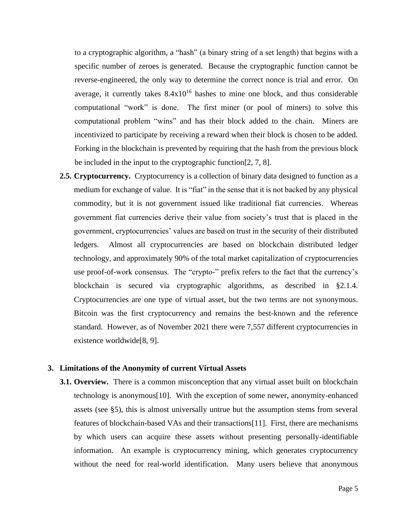to a cryptographic algorithm, a "hash" (a binary string of a set length) that begins with a specific number of zeroes is generated. Because the cryptographic function cannot be reverse-engineered, the only way to determine the correct nonce is trial and error. On average, it currently takes  $8.4x10^{16}$  hashes to mine one block, and thus considerable computational "work" is done. The first miner (or pool of miners) to solve this computational problem "wins" and has their block added to the chain. Miners are incentivized to participate by receiving a reward when their block is chosen to be added. Forking in the blockchain is prevented by requiring that the hash from the previous block be included in the input to the cryptographic function[2, 7, 8].

**2.5. Cryptocurrency.** Cryptocurrency is a collection of binary data designed to function as a medium for exchange of value. It is "fiat" in the sense that it is not backed by any physical commodity, but it is not government issued like traditional fiat currencies. Whereas government fiat currencies derive their value from society's trust that is placed in the government, cryptocurrencies' values are based on trust in the security of their distributed ledgers. Almost all cryptocurrencies are based on blockchain distributed ledger technology, and approximately 90% of the total market capitalization of cryptocurrencies use proof-of-work consensus. The "crypto-" prefix refers to the fact that the currency's blockchain is secured via cryptographic algorithms, as described in §2.1.4. Cryptocurrencies are one type of virtual asset, but the two terms are not synonymous. Bitcoin was the first cryptocurrency and remains the best-known and the reference standard. However, as of November 2021 there were 7,557 different cryptocurrencies in existence worldwide[8, 9].

### **3. Limitations of the Anonymity of current Virtual Assets**

**3.1. Overview.** There is a common misconception that any virtual asset built on blockchain technology is anonymous[10]. With the exception of some newer, anonymity-enhanced assets (see §5), this is almost universally untrue but the assumption stems from several features of blockchain-based VAs and their transactions[11]. First, there are mechanisms by which users can acquire these assets without presenting personally-identifiable information. An example is cryptocurrency mining, which generates cryptocurrency without the need for real-world identification. Many users believe that anonymous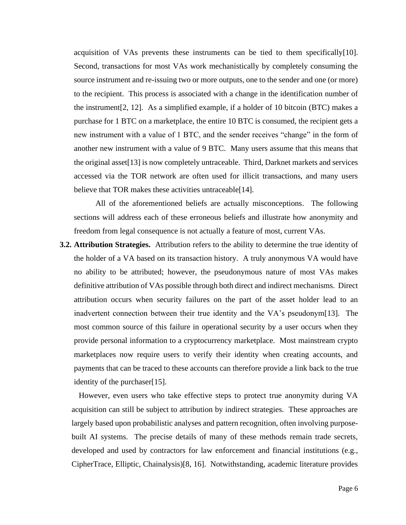acquisition of VAs prevents these instruments can be tied to them specifically $[10]$ . Second, transactions for most VAs work mechanistically by completely consuming the source instrument and re-issuing two or more outputs, one to the sender and one (or more) to the recipient. This process is associated with a change in the identification number of the instrument[2, 12]. As a simplified example, if a holder of 10 bitcoin (BTC) makes a purchase for 1 BTC on a marketplace, the entire 10 BTC is consumed, the recipient gets a new instrument with a value of 1 BTC, and the sender receives "change" in the form of another new instrument with a value of 9 BTC. Many users assume that this means that the original asset[13] is now completely untraceable. Third, Darknet markets and services accessed via the TOR network are often used for illicit transactions, and many users believe that TOR makes these activities untraceable<sup>[14]</sup>.

All of the aforementioned beliefs are actually misconceptions. The following sections will address each of these erroneous beliefs and illustrate how anonymity and freedom from legal consequence is not actually a feature of most, current VAs.

**3.2. Attribution Strategies.** Attribution refers to the ability to determine the true identity of the holder of a VA based on its transaction history. A truly anonymous VA would have no ability to be attributed; however, the pseudonymous nature of most VAs makes definitive attribution of VAs possible through both direct and indirect mechanisms. Direct attribution occurs when security failures on the part of the asset holder lead to an inadvertent connection between their true identity and the VA's pseudonym[13]. The most common source of this failure in operational security by a user occurs when they provide personal information to a cryptocurrency marketplace. Most mainstream crypto marketplaces now require users to verify their identity when creating accounts, and payments that can be traced to these accounts can therefore provide a link back to the true identity of the purchaser[15].

However, even users who take effective steps to protect true anonymity during VA acquisition can still be subject to attribution by indirect strategies. These approaches are largely based upon probabilistic analyses and pattern recognition, often involving purposebuilt AI systems. The precise details of many of these methods remain trade secrets, developed and used by contractors for law enforcement and financial institutions (e.g., CipherTrace, Elliptic, Chainalysis)[8, 16]. Notwithstanding, academic literature provides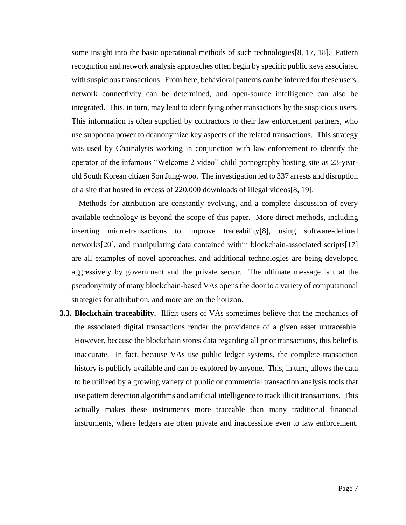some insight into the basic operational methods of such technologies[8, 17, 18]. Pattern recognition and network analysis approaches often begin by specific public keys associated with suspicious transactions. From here, behavioral patterns can be inferred for these users, network connectivity can be determined, and open-source intelligence can also be integrated. This, in turn, may lead to identifying other transactions by the suspicious users. This information is often supplied by contractors to their law enforcement partners, who use subpoena power to deanonymize key aspects of the related transactions. This strategy was used by Chainalysis working in conjunction with law enforcement to identify the operator of the infamous "Welcome 2 video" child pornography hosting site as 23-yearold South Korean citizen Son Jung-woo. The investigation led to 337 arrests and disruption of a site that hosted in excess of 220,000 downloads of illegal videos[8, 19].

Methods for attribution are constantly evolving, and a complete discussion of every available technology is beyond the scope of this paper. More direct methods, including inserting micro-transactions to improve traceability[8], using software-defined networks[20], and manipulating data contained within blockchain-associated scripts[17] are all examples of novel approaches, and additional technologies are being developed aggressively by government and the private sector. The ultimate message is that the pseudonymity of many blockchain-based VAs opens the door to a variety of computational strategies for attribution, and more are on the horizon.

**3.3. Blockchain traceability.** Illicit users of VAs sometimes believe that the mechanics of the associated digital transactions render the providence of a given asset untraceable. However, because the blockchain stores data regarding all prior transactions, this belief is inaccurate. In fact, because VAs use public ledger systems, the complete transaction history is publicly available and can be explored by anyone. This, in turn, allows the data to be utilized by a growing variety of public or commercial transaction analysis tools that use pattern detection algorithms and artificial intelligence to track illicit transactions. This actually makes these instruments more traceable than many traditional financial instruments, where ledgers are often private and inaccessible even to law enforcement.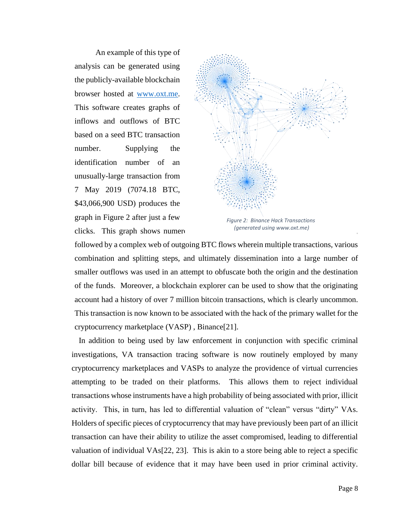An example of this type of analysis can be generated using the publicly-available blockchain browser hosted at [www.oxt.me.](http://www.oxt.me/) This software creates graphs of inflows and outflows of BTC based on a seed BTC transaction number. Supplying the identification number of an unusually-large transaction from 7 May 2019 (7074.18 BTC, \$43,066,900 USD) produces the graph in Figure 2 after just a few clicks. This graph shows numerous



*Figure 2: Binance Hack Transactions (generated using www.oxt.me)*

followed by a complex web of outgoing BTC flows wherein multiple transactions, various combination and splitting steps, and ultimately dissemination into a large number of smaller outflows was used in an attempt to obfuscate both the origin and the destination of the funds. Moreover, a blockchain explorer can be used to show that the originating account had a history of over 7 million bitcoin transactions, which is clearly uncommon. This transaction is now known to be associated with the hack of the primary wallet for the cryptocurrency marketplace (VASP) , Binance[21].

In addition to being used by law enforcement in conjunction with specific criminal investigations, VA transaction tracing software is now routinely employed by many cryptocurrency marketplaces and VASPs to analyze the providence of virtual currencies attempting to be traded on their platforms. This allows them to reject individual transactions whose instruments have a high probability of being associated with prior, illicit activity. This, in turn, has led to differential valuation of "clean" versus "dirty" VAs. Holders of specific pieces of cryptocurrency that may have previously been part of an illicit transaction can have their ability to utilize the asset compromised, leading to differential valuation of individual VAs[22, 23]. This is akin to a store being able to reject a specific dollar bill because of evidence that it may have been used in prior criminal activity.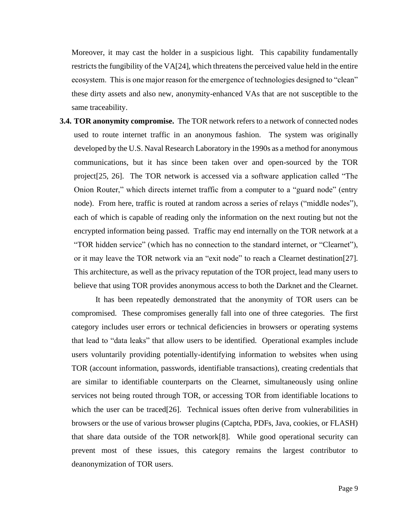Moreover, it may cast the holder in a suspicious light. This capability fundamentally restricts the fungibility of the VA[24], which threatens the perceived value held in the entire ecosystem. This is one major reason for the emergence of technologies designed to "clean" these dirty assets and also new, anonymity-enhanced VAs that are not susceptible to the same traceability.

**3.4. TOR anonymity compromise.** The TOR network refers to a network of connected nodes used to route internet traffic in an anonymous fashion. The system was originally developed by the U.S. Naval Research Laboratory in the 1990s as a method for anonymous communications, but it has since been taken over and open-sourced by the TOR project[25, 26]. The TOR network is accessed via a software application called "The Onion Router," which directs internet traffic from a computer to a "guard node" (entry node). From here, traffic is routed at random across a series of relays ("middle nodes"), each of which is capable of reading only the information on the next routing but not the encrypted information being passed. Traffic may end internally on the TOR network at a "TOR hidden service" (which has no connection to the standard internet, or "Clearnet"), or it may leave the TOR network via an "exit node" to reach a Clearnet destination[27]. This architecture, as well as the privacy reputation of the TOR project, lead many users to believe that using TOR provides anonymous access to both the Darknet and the Clearnet.

It has been repeatedly demonstrated that the anonymity of TOR users can be compromised. These compromises generally fall into one of three categories. The first category includes user errors or technical deficiencies in browsers or operating systems that lead to "data leaks" that allow users to be identified. Operational examples include users voluntarily providing potentially-identifying information to websites when using TOR (account information, passwords, identifiable transactions), creating credentials that are similar to identifiable counterparts on the Clearnet, simultaneously using online services not being routed through TOR, or accessing TOR from identifiable locations to which the user can be traced [26]. Technical issues often derive from vulnerabilities in browsers or the use of various browser plugins (Captcha, PDFs, Java, cookies, or FLASH) that share data outside of the TOR network[8]. While good operational security can prevent most of these issues, this category remains the largest contributor to deanonymization of TOR users.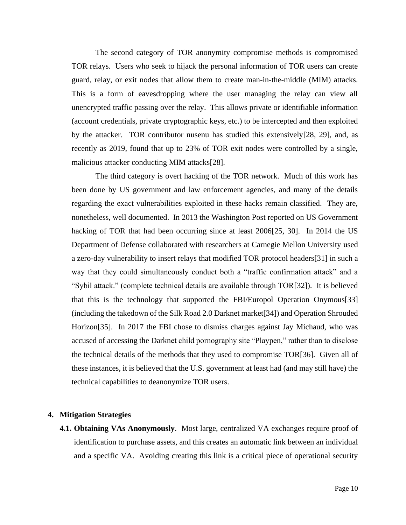The second category of TOR anonymity compromise methods is compromised TOR relays. Users who seek to hijack the personal information of TOR users can create guard, relay, or exit nodes that allow them to create man-in-the-middle (MIM) attacks. This is a form of eavesdropping where the user managing the relay can view all unencrypted traffic passing over the relay. This allows private or identifiable information (account credentials, private cryptographic keys, etc.) to be intercepted and then exploited by the attacker. TOR contributor nusenu has studied this extensively[28, 29], and, as recently as 2019, found that up to 23% of TOR exit nodes were controlled by a single, malicious attacker conducting MIM attacks[28].

The third category is overt hacking of the TOR network. Much of this work has been done by US government and law enforcement agencies, and many of the details regarding the exact vulnerabilities exploited in these hacks remain classified. They are, nonetheless, well documented. In 2013 the Washington Post reported on US Government hacking of TOR that had been occurring since at least 2006[25, 30]. In 2014 the US Department of Defense collaborated with researchers at Carnegie Mellon University used a zero-day vulnerability to insert relays that modified TOR protocol headers[31] in such a way that they could simultaneously conduct both a "traffic confirmation attack" and a "Sybil attack." (complete technical details are available through TOR[32]). It is believed that this is the technology that supported the FBI/Europol Operation Onymous[33] (including the takedown of the Silk Road 2.0 Darknet market[34]) and Operation Shrouded Horizon[35]. In 2017 the FBI chose to dismiss charges against Jay Michaud, who was accused of accessing the Darknet child pornography site "Playpen," rather than to disclose the technical details of the methods that they used to compromise TOR[36]. Given all of these instances, it is believed that the U.S. government at least had (and may still have) the technical capabilities to deanonymize TOR users.

#### **4. Mitigation Strategies**

**4.1. Obtaining VAs Anonymously**. Most large, centralized VA exchanges require proof of identification to purchase assets, and this creates an automatic link between an individual and a specific VA. Avoiding creating this link is a critical piece of operational security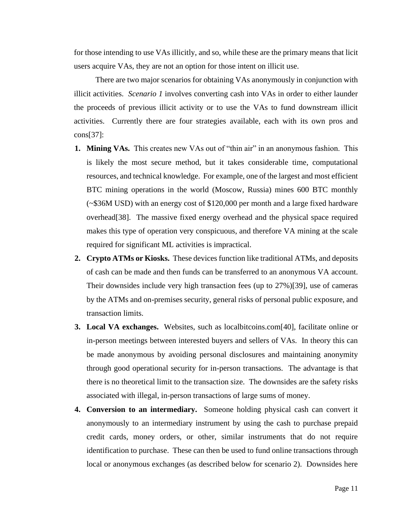for those intending to use VAs illicitly, and so, while these are the primary means that licit users acquire VAs, they are not an option for those intent on illicit use.

There are two major scenarios for obtaining VAs anonymously in conjunction with illicit activities. *Scenario 1* involves converting cash into VAs in order to either launder the proceeds of previous illicit activity or to use the VAs to fund downstream illicit activities. Currently there are four strategies available, each with its own pros and cons[37]:

- **1. Mining VAs.** This creates new VAs out of "thin air" in an anonymous fashion. This is likely the most secure method, but it takes considerable time, computational resources, and technical knowledge. For example, one of the largest and most efficient BTC mining operations in the world (Moscow, Russia) mines 600 BTC monthly (~\$36M USD) with an energy cost of \$120,000 per month and a large fixed hardware overhead[38]. The massive fixed energy overhead and the physical space required makes this type of operation very conspicuous, and therefore VA mining at the scale required for significant ML activities is impractical.
- **2. Crypto ATMs or Kiosks.** These devices function like traditional ATMs, and deposits of cash can be made and then funds can be transferred to an anonymous VA account. Their downsides include very high transaction fees (up to 27%)[39], use of cameras by the ATMs and on-premises security, general risks of personal public exposure, and transaction limits.
- **3. Local VA exchanges.** Websites, such as localbitcoins.com[40], facilitate online or in-person meetings between interested buyers and sellers of VAs. In theory this can be made anonymous by avoiding personal disclosures and maintaining anonymity through good operational security for in-person transactions. The advantage is that there is no theoretical limit to the transaction size. The downsides are the safety risks associated with illegal, in-person transactions of large sums of money.
- **4. Conversion to an intermediary.** Someone holding physical cash can convert it anonymously to an intermediary instrument by using the cash to purchase prepaid credit cards, money orders, or other, similar instruments that do not require identification to purchase. These can then be used to fund online transactions through local or anonymous exchanges (as described below for scenario 2). Downsides here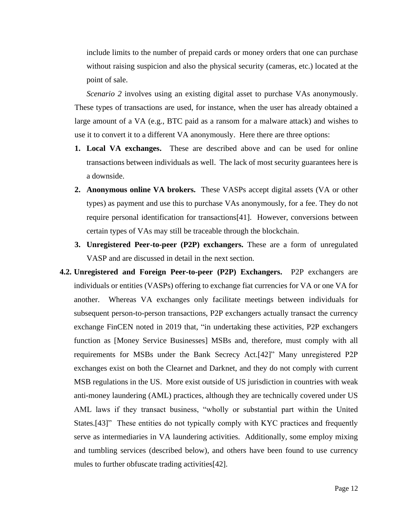include limits to the number of prepaid cards or money orders that one can purchase without raising suspicion and also the physical security (cameras, etc.) located at the point of sale.

*Scenario 2* involves using an existing digital asset to purchase VAs anonymously. These types of transactions are used, for instance, when the user has already obtained a large amount of a VA (e.g., BTC paid as a ransom for a malware attack) and wishes to use it to convert it to a different VA anonymously. Here there are three options:

- **1. Local VA exchanges.** These are described above and can be used for online transactions between individuals as well. The lack of most security guarantees here is a downside.
- **2. Anonymous online VA brokers.** These VASPs accept digital assets (VA or other types) as payment and use this to purchase VAs anonymously, for a fee. They do not require personal identification for transactions[41]. However, conversions between certain types of VAs may still be traceable through the blockchain.
- **3. Unregistered Peer-to-peer (P2P) exchangers.** These are a form of unregulated VASP and are discussed in detail in the next section.
- **4.2. Unregistered and Foreign Peer-to-peer (P2P) Exchangers.** P2P exchangers are individuals or entities (VASPs) offering to exchange fiat currencies for VA or one VA for another. Whereas VA exchanges only facilitate meetings between individuals for subsequent person-to-person transactions, P2P exchangers actually transact the currency exchange FinCEN noted in 2019 that, "in undertaking these activities, P2P exchangers function as [Money Service Businesses] MSBs and, therefore, must comply with all requirements for MSBs under the Bank Secrecy Act.[42]" Many unregistered P2P exchanges exist on both the Clearnet and Darknet, and they do not comply with current MSB regulations in the US. More exist outside of US jurisdiction in countries with weak anti-money laundering (AML) practices, although they are technically covered under US AML laws if they transact business, "wholly or substantial part within the United States.<sup>[43]"</sup> These entities do not typically comply with KYC practices and frequently serve as intermediaries in VA laundering activities. Additionally, some employ mixing and tumbling services (described below), and others have been found to use currency mules to further obfuscate trading activities[42].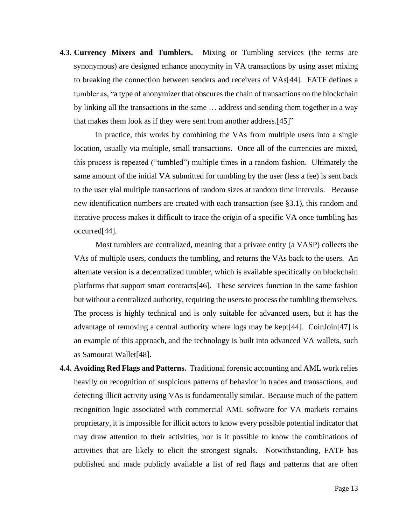**4.3. Currency Mixers and Tumblers.** Mixing or Tumbling services (the terms are synonymous) are designed enhance anonymity in VA transactions by using asset mixing to breaking the connection between senders and receivers of VAs[44]. FATF defines a tumbler as, "a type of anonymizer that obscures the chain of transactions on the blockchain by linking all the transactions in the same … address and sending them together in a way that makes them look as if they were sent from another address.[45]"

In practice, this works by combining the VAs from multiple users into a single location, usually via multiple, small transactions. Once all of the currencies are mixed, this process is repeated ("tumbled") multiple times in a random fashion. Ultimately the same amount of the initial VA submitted for tumbling by the user (less a fee) is sent back to the user vial multiple transactions of random sizes at random time intervals. Because new identification numbers are created with each transaction (see §3.1), this random and iterative process makes it difficult to trace the origin of a specific VA once tumbling has occurred[44].

Most tumblers are centralized, meaning that a private entity (a VASP) collects the VAs of multiple users, conducts the tumbling, and returns the VAs back to the users. An alternate version is a decentralized tumbler, which is available specifically on blockchain platforms that support smart contracts[46]. These services function in the same fashion but without a centralized authority, requiring the users to process the tumbling themselves. The process is highly technical and is only suitable for advanced users, but it has the advantage of removing a central authority where logs may be kept[44]. CoinJoin[47] is an example of this approach, and the technology is built into advanced VA wallets, such as Samourai Wallet[48].

**4.4. Avoiding Red Flags and Patterns.** Traditional forensic accounting and AML work relies heavily on recognition of suspicious patterns of behavior in trades and transactions, and detecting illicit activity using VAs is fundamentally similar. Because much of the pattern recognition logic associated with commercial AML software for VA markets remains proprietary, it is impossible for illicit actors to know every possible potential indicator that may draw attention to their activities, nor is it possible to know the combinations of activities that are likely to elicit the strongest signals. Notwithstanding, FATF has published and made publicly available a list of red flags and patterns that are often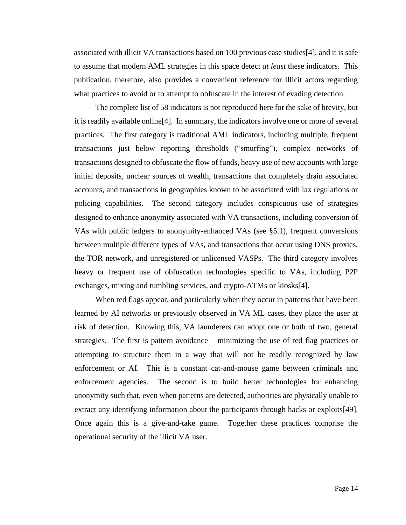associated with illicit VA transactions based on 100 previous case studies[4], and it is safe to assume that modern AML strategies in this space detect *at least* these indicators. This publication, therefore, also provides a convenient reference for illicit actors regarding what practices to avoid or to attempt to obfuscate in the interest of evading detection.

The complete list of 58 indicators is not reproduced here for the sake of brevity, but it is readily available online[4]. In summary, the indicators involve one or more of several practices. The first category is traditional AML indicators, including multiple, frequent transactions just below reporting thresholds ("smurfing"), complex networks of transactions designed to obfuscate the flow of funds, heavy use of new accounts with large initial deposits, unclear sources of wealth, transactions that completely drain associated accounts, and transactions in geographies known to be associated with lax regulations or policing capabilities. The second category includes conspicuous use of strategies designed to enhance anonymity associated with VA transactions, including conversion of VAs with public ledgers to anonymity-enhanced VAs (see §5.1), frequent conversions between multiple different types of VAs, and transactions that occur using DNS proxies, the TOR network, and unregistered or unlicensed VASPs. The third category involves heavy or frequent use of obfuscation technologies specific to VAs, including P2P exchanges, mixing and tumbling services, and crypto-ATMs or kiosks[4].

When red flags appear, and particularly when they occur in patterns that have been learned by AI networks or previously observed in VA ML cases, they place the user at risk of detection. Knowing this, VA launderers can adopt one or both of two, general strategies. The first is pattern avoidance – minimizing the use of red flag practices or attempting to structure them in a way that will not be readily recognized by law enforcement or AI. This is a constant cat-and-mouse game between criminals and enforcement agencies. The second is to build better technologies for enhancing anonymity such that, even when patterns are detected, authorities are physically unable to extract any identifying information about the participants through hacks or exploits[49]. Once again this is a give-and-take game. Together these practices comprise the operational security of the illicit VA user.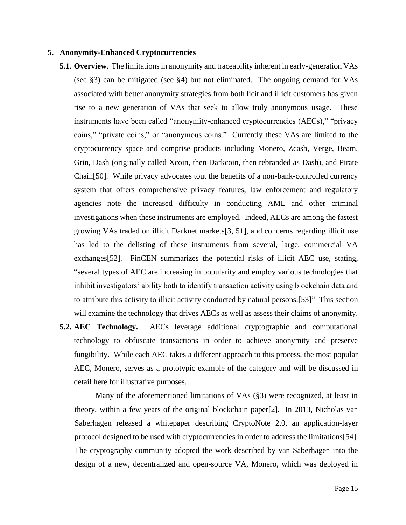#### **5. Anonymity-Enhanced Cryptocurrencies**

- **5.1. Overview.** The limitations in anonymity and traceability inherent in early-generation VAs (see §3) can be mitigated (see §4) but not eliminated. The ongoing demand for VAs associated with better anonymity strategies from both licit and illicit customers has given rise to a new generation of VAs that seek to allow truly anonymous usage. These instruments have been called "anonymity-enhanced cryptocurrencies (AECs)," "privacy coins," "private coins," or "anonymous coins." Currently these VAs are limited to the cryptocurrency space and comprise products including Monero, Zcash, Verge, Beam, Grin, Dash (originally called Xcoin, then Darkcoin, then rebranded as Dash), and Pirate Chain[50]. While privacy advocates tout the benefits of a non-bank-controlled currency system that offers comprehensive privacy features, law enforcement and regulatory agencies note the increased difficulty in conducting AML and other criminal investigations when these instruments are employed. Indeed, AECs are among the fastest growing VAs traded on illicit Darknet markets[3, 51], and concerns regarding illicit use has led to the delisting of these instruments from several, large, commercial VA exchanges[52]. FinCEN summarizes the potential risks of illicit AEC use, stating, "several types of AEC are increasing in popularity and employ various technologies that inhibit investigators' ability both to identify transaction activity using blockchain data and to attribute this activity to illicit activity conducted by natural persons.[53]" This section will examine the technology that drives AECs as well as assess their claims of anonymity.
- **5.2. AEC Technology.** AECs leverage additional cryptographic and computational technology to obfuscate transactions in order to achieve anonymity and preserve fungibility. While each AEC takes a different approach to this process, the most popular AEC, Monero, serves as a prototypic example of the category and will be discussed in detail here for illustrative purposes.

Many of the aforementioned limitations of VAs (§3) were recognized, at least in theory, within a few years of the original blockchain paper[2]. In 2013, Nicholas van Saberhagen released a whitepaper describing CryptoNote 2.0, an application-layer protocol designed to be used with cryptocurrencies in order to address the limitations[54]. The cryptography community adopted the work described by van Saberhagen into the design of a new, decentralized and open-source VA, Monero, which was deployed in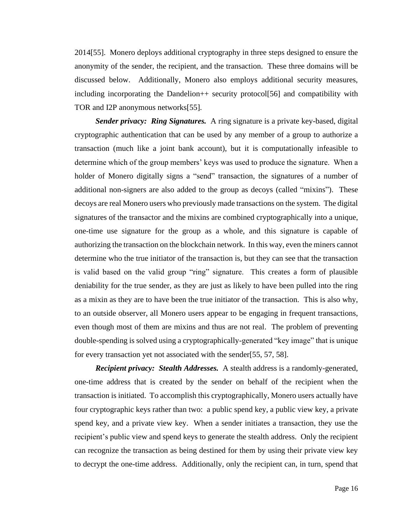2014[55]. Monero deploys additional cryptography in three steps designed to ensure the anonymity of the sender, the recipient, and the transaction. These three domains will be discussed below. Additionally, Monero also employs additional security measures, including incorporating the Dandelion++ security protocol[56] and compatibility with TOR and I2P anonymous networks[55].

*Sender privacy: Ring Signatures.* A ring signature is a private key-based, digital cryptographic authentication that can be used by any member of a group to authorize a transaction (much like a joint bank account), but it is computationally infeasible to determine which of the group members' keys was used to produce the signature. When a holder of Monero digitally signs a "send" transaction, the signatures of a number of additional non-signers are also added to the group as decoys (called "mixins"). These decoys are real Monero users who previously made transactions on the system. The digital signatures of the transactor and the mixins are combined cryptographically into a unique, one-time use signature for the group as a whole, and this signature is capable of authorizing the transaction on the blockchain network. In this way, even the miners cannot determine who the true initiator of the transaction is, but they can see that the transaction is valid based on the valid group "ring" signature. This creates a form of plausible deniability for the true sender, as they are just as likely to have been pulled into the ring as a mixin as they are to have been the true initiator of the transaction. This is also why, to an outside observer, all Monero users appear to be engaging in frequent transactions, even though most of them are mixins and thus are not real. The problem of preventing double-spending is solved using a cryptographically-generated "key image" that is unique for every transaction yet not associated with the sender[55, 57, 58].

*Recipient privacy: Stealth Addresses.* A stealth address is a randomly-generated, one-time address that is created by the sender on behalf of the recipient when the transaction is initiated. To accomplish this cryptographically, Monero users actually have four cryptographic keys rather than two: a public spend key, a public view key, a private spend key, and a private view key. When a sender initiates a transaction, they use the recipient's public view and spend keys to generate the stealth address. Only the recipient can recognize the transaction as being destined for them by using their private view key to decrypt the one-time address. Additionally, only the recipient can, in turn, spend that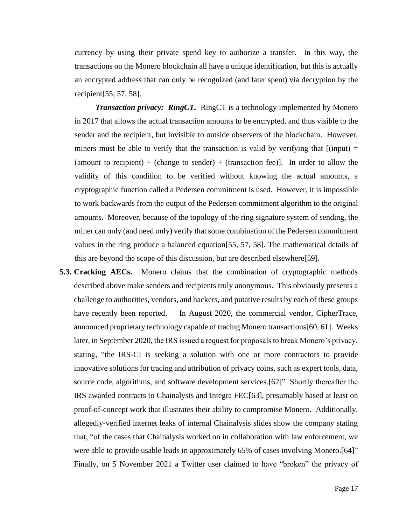currency by using their private spend key to authorize a transfer. In this way, the transactions on the Monero blockchain all have a unique identification, but this is actually an encrypted address that can only be recognized (and later spent) via decryption by the recipient[55, 57, 58].

*Transaction privacy: RingCT.* RingCT is a technology implemented by Monero in 2017 that allows the actual transaction amounts to be encrypted, and thus visible to the sender and the recipient, but invisible to outside observers of the blockchain. However, miners must be able to verify that the transaction is valid by verifying that  $\lceil$ (input) = (amount to recipient) + (change to sender) + (transaction fee)]. In order to allow the validity of this condition to be verified without knowing the actual amounts, a cryptographic function called a Pedersen commitment is used. However, it is impossible to work backwards from the output of the Pedersen commitment algorithm to the original amounts. Moreover, because of the topology of the ring signature system of sending, the miner can only (and need only) verify that some combination of the Pedersen commitment values in the ring produce a balanced equation[55, 57, 58]. The mathematical details of this are beyond the scope of this discussion, but are described elsewhere[59].

**5.3. Cracking AECs.** Monero claims that the combination of cryptographic methods described above make senders and recipients truly anonymous. This obviously presents a challenge to authorities, vendors, and hackers, and putative results by each of these groups have recently been reported. In August 2020, the commercial vendor, CipherTrace, announced proprietary technology capable of tracing Monero transactions[60, 61]. Weeks later, in September 2020, the IRS issued a request for proposals to break Monero's privacy, stating, "the IRS-CI is seeking a solution with one or more contractors to provide innovative solutions for tracing and attribution of privacy coins, such as expert tools, data, source code, algorithms, and software development services.[62]" Shortly thereafter the IRS awarded contracts to Chainalysis and Integra FEC[63], presumably based at least on proof-of-concept work that illustrates their ability to compromise Monero. Additionally, allegedly-verified internet leaks of internal Chainalysis slides show the company stating that, "of the cases that Chainalysis worked on in collaboration with law enforcement, we were able to provide usable leads in approximately 65% of cases involving Monero.[64]" Finally, on 5 November 2021 a Twitter user claimed to have "broken" the privacy of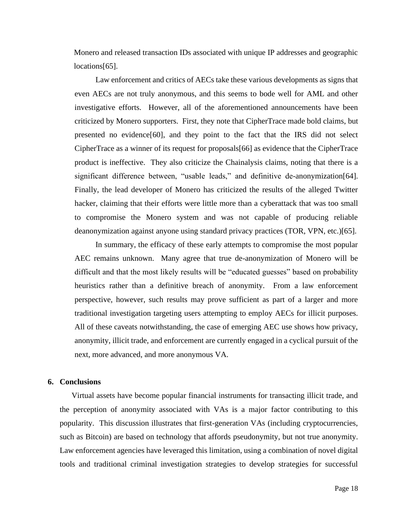Monero and released transaction IDs associated with unique IP addresses and geographic locations[65].

Law enforcement and critics of AECs take these various developments as signs that even AECs are not truly anonymous, and this seems to bode well for AML and other investigative efforts. However, all of the aforementioned announcements have been criticized by Monero supporters. First, they note that CipherTrace made bold claims, but presented no evidence[60], and they point to the fact that the IRS did not select CipherTrace as a winner of its request for proposals[66] as evidence that the CipherTrace product is ineffective. They also criticize the Chainalysis claims, noting that there is a significant difference between, "usable leads," and definitive de-anonymization[64]. Finally, the lead developer of Monero has criticized the results of the alleged Twitter hacker, claiming that their efforts were little more than a cyberattack that was too small to compromise the Monero system and was not capable of producing reliable deanonymization against anyone using standard privacy practices (TOR, VPN, etc.)[65].

In summary, the efficacy of these early attempts to compromise the most popular AEC remains unknown. Many agree that true de-anonymization of Monero will be difficult and that the most likely results will be "educated guesses" based on probability heuristics rather than a definitive breach of anonymity. From a law enforcement perspective, however, such results may prove sufficient as part of a larger and more traditional investigation targeting users attempting to employ AECs for illicit purposes. All of these caveats notwithstanding, the case of emerging AEC use shows how privacy, anonymity, illicit trade, and enforcement are currently engaged in a cyclical pursuit of the next, more advanced, and more anonymous VA.

# **6. Conclusions**

Virtual assets have become popular financial instruments for transacting illicit trade, and the perception of anonymity associated with VAs is a major factor contributing to this popularity. This discussion illustrates that first-generation VAs (including cryptocurrencies, such as Bitcoin) are based on technology that affords pseudonymity, but not true anonymity. Law enforcement agencies have leveraged this limitation, using a combination of novel digital tools and traditional criminal investigation strategies to develop strategies for successful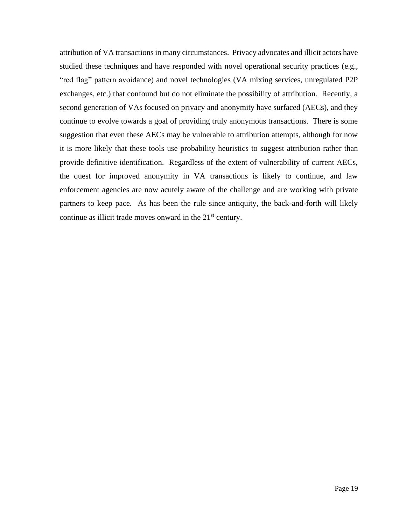attribution of VA transactions in many circumstances. Privacy advocates and illicit actors have studied these techniques and have responded with novel operational security practices (e.g., "red flag" pattern avoidance) and novel technologies (VA mixing services, unregulated P2P exchanges, etc.) that confound but do not eliminate the possibility of attribution. Recently, a second generation of VAs focused on privacy and anonymity have surfaced (AECs), and they continue to evolve towards a goal of providing truly anonymous transactions. There is some suggestion that even these AECs may be vulnerable to attribution attempts, although for now it is more likely that these tools use probability heuristics to suggest attribution rather than provide definitive identification. Regardless of the extent of vulnerability of current AECs, the quest for improved anonymity in VA transactions is likely to continue, and law enforcement agencies are now acutely aware of the challenge and are working with private partners to keep pace. As has been the rule since antiquity, the back-and-forth will likely continue as illicit trade moves onward in the  $21<sup>st</sup>$  century.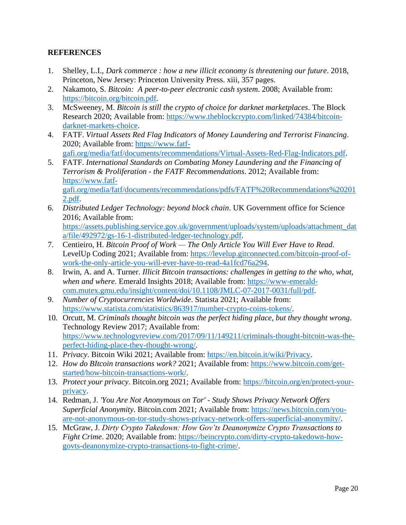# **REFERENCES**

- 1. Shelley, L.I., *Dark commerce : how a new illicit economy is threatening our future*. 2018, Princeton, New Jersey: Princeton University Press. xiii, 357 pages.
- 2. Nakamoto, S. *Bitcoin: A peer-to-peer electronic cash system*. 2008; Available from: [https://bitcoin.org/bitcoin.pdf.](https://bitcoin.org/bitcoin.pdf)
- 3. McSweeney, M. *Bitcoin is still the crypto of choice for darknet marketplaces*. The Block Research 2020; Available from: [https://www.theblockcrypto.com/linked/74384/bitcoin](https://www.theblockcrypto.com/linked/74384/bitcoin-darknet-markets-choice)[darknet-markets-choice.](https://www.theblockcrypto.com/linked/74384/bitcoin-darknet-markets-choice)
- 4. FATF. *Virtual Assets Red Flag Indicators of Money Laundering and Terrorist Financing*. 2020; Available from: [https://www.fatf](https://www.fatf-gafi.org/media/fatf/documents/recommendations/Virtual-Assets-Red-Flag-Indicators.pdf)[gafi.org/media/fatf/documents/recommendations/Virtual-Assets-Red-Flag-Indicators.pdf.](https://www.fatf-gafi.org/media/fatf/documents/recommendations/Virtual-Assets-Red-Flag-Indicators.pdf)
- 5. FATF. *International Standards on Combating Money Laundering and the Financing of Terrorism & Proliferation - the FATF Recommendations*. 2012; Available from: [https://www.fatf](https://www.fatf-gafi.org/media/fatf/documents/recommendations/pdfs/FATF%20Recommendations%202012.pdf)[gafi.org/media/fatf/documents/recommendations/pdfs/FATF%20Recommendations%20201](https://www.fatf-gafi.org/media/fatf/documents/recommendations/pdfs/FATF%20Recommendations%202012.pdf) [2.pdf.](https://www.fatf-gafi.org/media/fatf/documents/recommendations/pdfs/FATF%20Recommendations%202012.pdf)
- 6. *Distributed Ledger Technology: beyond block chain*. UK Government office for Science 2016; Available from: [https://assets.publishing.service.gov.uk/government/uploads/system/uploads/attachment\\_dat](https://assets.publishing.service.gov.uk/government/uploads/system/uploads/attachment_data/file/492972/gs-16-1-distributed-ledger-technology.pdf) [a/file/492972/gs-16-1-distributed-ledger-technology.pdf.](https://assets.publishing.service.gov.uk/government/uploads/system/uploads/attachment_data/file/492972/gs-16-1-distributed-ledger-technology.pdf)
- 7. Centieiro, H. *Bitcoin Proof of Work — The Only Article You Will Ever Have to Read*. LevelUp Coding 2021; Available from: [https://levelup.gitconnected.com/bitcoin-proof-of](https://levelup.gitconnected.com/bitcoin-proof-of-work-the-only-article-you-will-ever-have-to-read-4a1fcd76a294)[work-the-only-article-you-will-ever-have-to-read-4a1fcd76a294.](https://levelup.gitconnected.com/bitcoin-proof-of-work-the-only-article-you-will-ever-have-to-read-4a1fcd76a294)
- 8. Irwin, A. and A. Turner. *Illicit Bitcoin transactions: challenges in getting to the who, what, when and where*. Emerald Insights 2018; Available from: [https://www-emerald](https://www-emerald-com.mutex.gmu.edu/insight/content/doi/10.1108/JMLC-07-2017-0031/full/pdf)[com.mutex.gmu.edu/insight/content/doi/10.1108/JMLC-07-2017-0031/full/pdf.](https://www-emerald-com.mutex.gmu.edu/insight/content/doi/10.1108/JMLC-07-2017-0031/full/pdf)
- 9. *Number of Cryptocurrencies Worldwide*. Statista 2021; Available from: [https://www.statista.com/statistics/863917/number-crypto-coins-tokens/.](https://www.statista.com/statistics/863917/number-crypto-coins-tokens/)
- 10. Orcutt, M. *Criminals thought bitcoin was the perfect hiding place, but they thought wrong*. Technology Review 2017; Available from: [https://www.technologyreview.com/2017/09/11/149211/criminals-thought-bitcoin-was-the](https://www.technologyreview.com/2017/09/11/149211/criminals-thought-bitcoin-was-the-perfect-hiding-place-they-thought-wrong/)[perfect-hiding-place-they-thought-wrong/.](https://www.technologyreview.com/2017/09/11/149211/criminals-thought-bitcoin-was-the-perfect-hiding-place-they-thought-wrong/)
- 11. *Privacy*. Bitcoin Wiki 2021; Available from: [https://en.bitcoin.it/wiki/Privacy.](https://en.bitcoin.it/wiki/Privacy)
- 12. *How do BItcoin transactions work?* 2021; Available from: [https://www.bitcoin.com/get](https://www.bitcoin.com/get-started/how-bitcoin-transactions-work/)[started/how-bitcoin-transactions-work/.](https://www.bitcoin.com/get-started/how-bitcoin-transactions-work/)
- 13. *Protect your privacy*. Bitcoin.org 2021; Available from: [https://bitcoin.org/en/protect-your](https://bitcoin.org/en/protect-your-privacy)[privacy.](https://bitcoin.org/en/protect-your-privacy)
- 14. Redman, J. *'You Are Not Anonymous on Tor' - Study Shows Privacy Network Offers Superficial Anonymity*. Bitcoin.com 2021; Available from: [https://news.bitcoin.com/you](https://news.bitcoin.com/you-are-not-anonymous-on-tor-study-shows-privacy-network-offers-superficial-anonymity/)[are-not-anonymous-on-tor-study-shows-privacy-network-offers-superficial-anonymity/.](https://news.bitcoin.com/you-are-not-anonymous-on-tor-study-shows-privacy-network-offers-superficial-anonymity/)
- 15. McGraw, J. *Dirty Crypto Takedown: How Gov'ts Deanonymize Crypto Transactions to Fight Crime*. 2020; Available from: [https://beincrypto.com/dirty-crypto-takedown-how](https://beincrypto.com/dirty-crypto-takedown-how-govts-deanonymize-crypto-transactions-to-fight-crime/)[govts-deanonymize-crypto-transactions-to-fight-crime/.](https://beincrypto.com/dirty-crypto-takedown-how-govts-deanonymize-crypto-transactions-to-fight-crime/)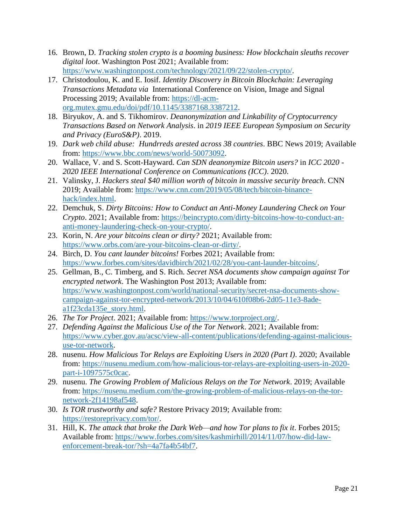- 16. Brown, D. *Tracking stolen crypto is a booming business: How blockchain sleuths recover digital loot*. Washington Post 2021; Available from: [https://www.washingtonpost.com/technology/2021/09/22/stolen-crypto/.](https://www.washingtonpost.com/technology/2021/09/22/stolen-crypto/)
- 17. Christodoulou, K. and E. Iosif. *Identity Discovery in Bitcoin Blockchain: Leveraging Transactions Metadata via* International Conference on Vision, Image and Signal Processing 2019; Available from: [https://dl-acm](https://dl-acm-org.mutex.gmu.edu/doi/pdf/10.1145/3387168.3387212)[org.mutex.gmu.edu/doi/pdf/10.1145/3387168.3387212.](https://dl-acm-org.mutex.gmu.edu/doi/pdf/10.1145/3387168.3387212)
- 18. Biryukov, A. and S. Tikhomirov. *Deanonymization and Linkability of Cryptocurrency Transactions Based on Network Analysis*. in *2019 IEEE European Symposium on Security and Privacy (EuroS&P)*. 2019.
- 19. *Dark web child abuse: Hundrreds arested across 38 countries*. BBC News 2019; Available from: [https://www.bbc.com/news/world-50073092.](https://www.bbc.com/news/world-50073092)
- 20. Wallace, V. and S. Scott-Hayward. *Can SDN deanonymize Bitcoin users?* in *ICC 2020 - 2020 IEEE International Conference on Communications (ICC)*. 2020.
- 21. Valinsky, J. *Hackers steal \$40 million worth of bitcoin in massive security breach*. CNN 2019; Available from: [https://www.cnn.com/2019/05/08/tech/bitcoin-binance](https://www.cnn.com/2019/05/08/tech/bitcoin-binance-hack/index.html)[hack/index.html.](https://www.cnn.com/2019/05/08/tech/bitcoin-binance-hack/index.html)
- 22. Demchuk, S. *Dirty Bitcoins: How to Conduct an Anti-Money Laundering Check on Your Crypto*. 2021; Available from: [https://beincrypto.com/dirty-bitcoins-how-to-conduct-an](https://beincrypto.com/dirty-bitcoins-how-to-conduct-an-anti-money-laundering-check-on-your-crypto/)[anti-money-laundering-check-on-your-crypto/.](https://beincrypto.com/dirty-bitcoins-how-to-conduct-an-anti-money-laundering-check-on-your-crypto/)
- 23. Korin, N. *Are your bitcoins clean or dirty?* 2021; Available from: [https://www.orbs.com/are-your-bitcoins-clean-or-dirty/.](https://www.orbs.com/are-your-bitcoins-clean-or-dirty/)
- 24. Birch, D. *You cant launder bitcoins!* Forbes 2021; Available from: [https://www.forbes.com/sites/davidbirch/2021/02/28/you-cant-launder-bitcoins/.](https://www.forbes.com/sites/davidbirch/2021/02/28/you-cant-launder-bitcoins/)
- 25. Gellman, B., C. Timberg, and S. Rich. *Secret NSA documents show campaign against Tor encrypted network*. The Washington Post 2013; Available from: [https://www.washingtonpost.com/world/national-security/secret-nsa-documents-show](https://www.washingtonpost.com/world/national-security/secret-nsa-documents-show-campaign-against-tor-encrypted-network/2013/10/04/610f08b6-2d05-11e3-8ade-a1f23cda135e_story.html)[campaign-against-tor-encrypted-network/2013/10/04/610f08b6-2d05-11e3-8ade](https://www.washingtonpost.com/world/national-security/secret-nsa-documents-show-campaign-against-tor-encrypted-network/2013/10/04/610f08b6-2d05-11e3-8ade-a1f23cda135e_story.html)[a1f23cda135e\\_story.html.](https://www.washingtonpost.com/world/national-security/secret-nsa-documents-show-campaign-against-tor-encrypted-network/2013/10/04/610f08b6-2d05-11e3-8ade-a1f23cda135e_story.html)
- 26. *The Tor Project*. 2021; Available from: [https://www.torproject.org/.](https://www.torproject.org/)
- 27. *Defending Against the Malicious Use of the Tor Network*. 2021; Available from: [https://www.cyber.gov.au/acsc/view-all-content/publications/defending-against-malicious](https://www.cyber.gov.au/acsc/view-all-content/publications/defending-against-malicious-use-tor-network)[use-tor-network.](https://www.cyber.gov.au/acsc/view-all-content/publications/defending-against-malicious-use-tor-network)
- 28. nusenu. *How Malicious Tor Relays are Exploiting Users in 2020 (Part I)*. 2020; Available from: [https://nusenu.medium.com/how-malicious-tor-relays-are-exploiting-users-in-2020](https://nusenu.medium.com/how-malicious-tor-relays-are-exploiting-users-in-2020-part-i-1097575c0cac) [part-i-1097575c0cac.](https://nusenu.medium.com/how-malicious-tor-relays-are-exploiting-users-in-2020-part-i-1097575c0cac)
- 29. nusenu. *The Growing Problem of Malicious Relays on the Tor Network*. 2019; Available from: [https://nusenu.medium.com/the-growing-problem-of-malicious-relays-on-the-tor](https://nusenu.medium.com/the-growing-problem-of-malicious-relays-on-the-tor-network-2f14198af548)[network-2f14198af548.](https://nusenu.medium.com/the-growing-problem-of-malicious-relays-on-the-tor-network-2f14198af548)
- 30. *Is TOR trustworthy and safe?* Restore Privacy 2019; Available from: [https://restoreprivacy.com/tor/.](https://restoreprivacy.com/tor/)
- 31. Hill, K. *The attack that broke the Dark Web—and how Tor plans to fix it*. Forbes 2015; Available from: [https://www.forbes.com/sites/kashmirhill/2014/11/07/how-did-law](https://www.forbes.com/sites/kashmirhill/2014/11/07/how-did-law-enforcement-break-tor/?sh=4a7fa4b54bf7)[enforcement-break-tor/?sh=4a7fa4b54bf7.](https://www.forbes.com/sites/kashmirhill/2014/11/07/how-did-law-enforcement-break-tor/?sh=4a7fa4b54bf7)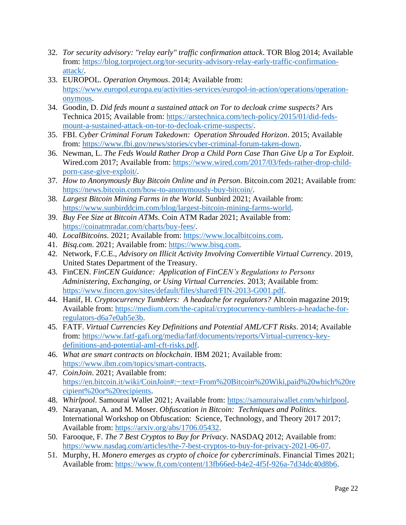- 32. *Tor security advisory: "relay early" traffic confirmation attack*. TOR Blog 2014; Available from: [https://blog.torproject.org/tor-security-advisory-relay-early-traffic-confirmation](https://blog.torproject.org/tor-security-advisory-relay-early-traffic-confirmation-attack/)[attack/.](https://blog.torproject.org/tor-security-advisory-relay-early-traffic-confirmation-attack/)
- 33. EUROPOL. *Operation Onymous*. 2014; Available from: [https://www.europol.europa.eu/activities-services/europol-in-action/operations/operation](https://www.europol.europa.eu/activities-services/europol-in-action/operations/operation-onymous)[onymous.](https://www.europol.europa.eu/activities-services/europol-in-action/operations/operation-onymous)
- 34. Goodin, D. *Did feds mount a sustained attack on Tor to decloak crime suspects?* Ars Technica 2015; Available from: [https://arstechnica.com/tech-policy/2015/01/did-feds](https://arstechnica.com/tech-policy/2015/01/did-feds-mount-a-sustained-attack-on-tor-to-decloak-crime-suspects/)[mount-a-sustained-attack-on-tor-to-decloak-crime-suspects/.](https://arstechnica.com/tech-policy/2015/01/did-feds-mount-a-sustained-attack-on-tor-to-decloak-crime-suspects/)
- 35. FBI. *Cyber Criminal Forum Takedown: Operation Shrouded Horizon*. 2015; Available from: [https://www.fbi.gov/news/stories/cyber-criminal-forum-taken-down.](https://www.fbi.gov/news/stories/cyber-criminal-forum-taken-down)
- 36. Newman, L. *The Feds Would Rather Drop a Child Porn Case Than Give Up a Tor Exploit*. Wired.com 2017; Available from: [https://www.wired.com/2017/03/feds-rather-drop-child](https://www.wired.com/2017/03/feds-rather-drop-child-porn-case-give-exploit/)[porn-case-give-exploit/.](https://www.wired.com/2017/03/feds-rather-drop-child-porn-case-give-exploit/)
- 37. *How to Anonymously Buy Bitcoin Online and in Person*. Bitcoin.com 2021; Available from: [https://news.bitcoin.com/how-to-anonymously-buy-bitcoin/.](https://news.bitcoin.com/how-to-anonymously-buy-bitcoin/)
- 38. *Largest Bitcoin Mining Farms in the World*. Sunbird 2021; Available from: [https://www.sunbirddcim.com/blog/largest-bitcoin-mining-farms-world.](https://www.sunbirddcim.com/blog/largest-bitcoin-mining-farms-world)
- 39. *Buy Fee Size at Bitcoin ATMs*. Coin ATM Radar 2021; Available from: [https://coinatmradar.com/charts/buy-fees/.](https://coinatmradar.com/charts/buy-fees/)
- 40. *LocalBitcoins*. 2021; Available from: [https://www.localbitcoins.com.](https://www.localbitcoins.com/)
- 41. *Bisq.com*. 2021; Available from: [https://www.bisq.com.](https://www.bisq.com/)
- 42. Network, F.C.E., *Advisory on Illicit Activity Involving Convertible Virtual Currency*. 2019, United States Department of the Treasury.
- 43. FinCEN. *FinCEN Guidance: Application of FinCEN's Regulations to Persons Administering, Exchanging, or Using Virtual Currencies*. 2013; Available from: [https://www.fincen.gov/sites/default/files/shared/FIN-2013-G001.pdf.](https://www.fincen.gov/sites/default/files/shared/FIN-2013-G001.pdf)
- 44. Hanif, H. *Cryptocurrency Tumblers: A headache for regulators?* Altcoin magazine 2019; Available from: [https://medium.com/the-capital/cryptocurrency-tumblers-a-headache-for](https://medium.com/the-capital/cryptocurrency-tumblers-a-headache-for-regulators-d6a7e0ab5e3b)[regulators-d6a7e0ab5e3b.](https://medium.com/the-capital/cryptocurrency-tumblers-a-headache-for-regulators-d6a7e0ab5e3b)
- 45. FATF. *Virtual Currencies Key Definitions and Potential AML/CFT Risks*. 2014; Available from: [https://www.fatf-gafi.org/media/fatf/documents/reports/Virtual-currency-key](https://www.fatf-gafi.org/media/fatf/documents/reports/Virtual-currency-key-definitions-and-potential-aml-cft-risks.pdf)[definitions-and-potential-aml-cft-risks.pdf.](https://www.fatf-gafi.org/media/fatf/documents/reports/Virtual-currency-key-definitions-and-potential-aml-cft-risks.pdf)
- 46. *What are smart contracts on blockchain*. IBM 2021; Available from: [https://www.ibm.com/topics/smart-contracts.](https://www.ibm.com/topics/smart-contracts)
- 47. *CoinJoin*. 2021; Available from: [https://en.bitcoin.it/wiki/CoinJoin#:~:text=From%20Bitcoin%20Wiki,paid%20which%20re](https://en.bitcoin.it/wiki/CoinJoin#:~:text=From%20Bitcoin%20Wiki,paid%20which%20recipient%20or%20recipients) [cipient%20or%20recipients.](https://en.bitcoin.it/wiki/CoinJoin#:~:text=From%20Bitcoin%20Wiki,paid%20which%20recipient%20or%20recipients)
- 48. *Whirlpool*. Samourai Wallet 2021; Available from: [https://samouraiwallet.com/whirlpool.](https://samouraiwallet.com/whirlpool)
- 49. Narayanan, A. and M. Moser. *Obfuscation in Bitcoin: Techniques and Politics*. International Workshop on Obfuscation: Science, Technology, and Theory 2017 2017; Available from: [https://arxiv.org/abs/1706.05432.](https://arxiv.org/abs/1706.05432)
- 50. Farooque, F. *The 7 Best Cryptos to Buy for Privacy*. NASDAQ 2012; Available from: [https://www.nasdaq.com/articles/the-7-best-cryptos-to-buy-for-privacy-2021-06-07.](https://www.nasdaq.com/articles/the-7-best-cryptos-to-buy-for-privacy-2021-06-07)
- 51. Murphy, H. *Monero emerges as crypto of choice for cybercriminals*. Financial Times 2021; Available from: [https://www.ft.com/content/13fb66ed-b4e2-4f5f-926a-7d34dc40d8b6.](https://www.ft.com/content/13fb66ed-b4e2-4f5f-926a-7d34dc40d8b6)